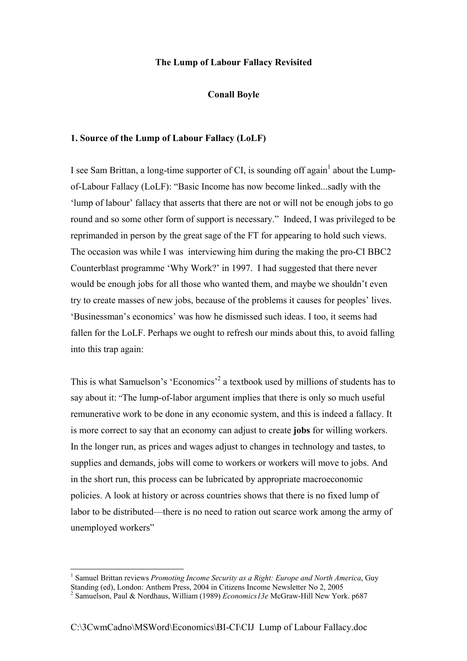### **The Lump of Labour Fallacy Revisited**

**Conall Boyle** 

#### **1. Source of the Lump of Labour Fallacy (LoLF)**

I see Sam Brittan, a long-time supporter of CI, is sounding off again<sup>[1](#page-0-0)</sup> about the Lumpof-Labour Fallacy (LoLF): "Basic Income has now become linked...sadly with the 'lump of labour' fallacy that asserts that there are not or will not be enough jobs to go round and so some other form of support is necessary." Indeed, I was privileged to be reprimanded in person by the great sage of the FT for appearing to hold such views. The occasion was while I was interviewing him during the making the pro-CI BBC2 Counterblast programme 'Why Work?' in 1997. I had suggested that there never would be enough jobs for all those who wanted them, and maybe we shouldn't even try to create masses of new jobs, because of the problems it causes for peoples' lives. 'Businessman's economics' was how he dismissed such ideas. I too, it seems had fallen for the LoLF. Perhaps we ought to refresh our minds about this, to avoid falling into this trap again:

This is what Samuelson's 'Economics'<sup>[2](#page-0-1)</sup> a textbook used by millions of students has to say about it: "The lump-of-labor argument implies that there is only so much useful remunerative work to be done in any economic system, and this is indeed a fallacy. It is more correct to say that an economy can adjust to create **jobs** for willing workers. In the longer run, as prices and wages adjust to changes in technology and tastes, to supplies and demands, jobs will come to workers or workers will move to jobs. And in the short run, this process can be lubricated by appropriate macroeconomic policies. A look at history or across countries shows that there is no fixed lump of labor to be distributed—there is no need to ration out scarce work among the army of unemployed workers"

 $\overline{a}$ 

<span id="page-0-0"></span><sup>&</sup>lt;sup>1</sup> Samuel Brittan reviews *Promoting Income Security as a Right: Europe and North America*, Guy Standing (ed), London: Anthem Press, 2004 in Citizens Income Newsletter No 2, 2005

<span id="page-0-1"></span><sup>2</sup> Samuelson, Paul & Nordhaus, William (1989) *Economics13e* McGraw-Hill New York. p687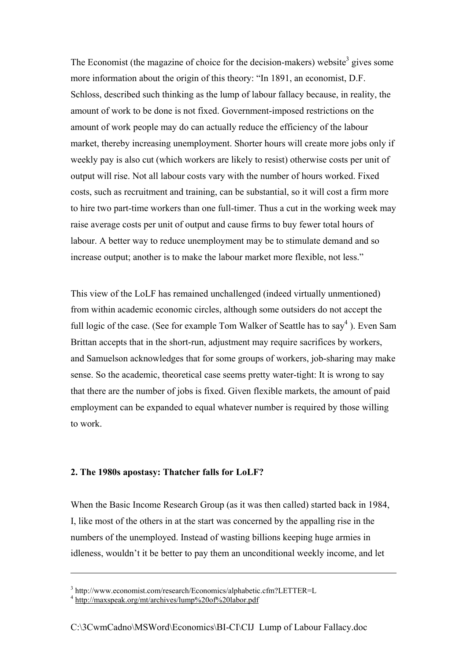The Economist (the magazine of choice for the decision-makers) website<sup>[3](#page-1-0)</sup> gives some more information about the origin of this theory: "In 1891, an economist, D.F. Schloss, described such thinking as the lump of labour fallacy because, in reality, the amount of work to be done is not fixed. Government-imposed restrictions on the amount of work people may do can actually reduce the efficiency of the labour market, thereby increasing unemployment. Shorter hours will create more jobs only if weekly pay is also cut (which workers are likely to resist) otherwise costs per unit of output will rise. Not all labour costs vary with the number of hours worked. Fixed costs, such as recruitment and training, can be substantial, so it will cost a firm more to hire two part-time workers than one full-timer. Thus a cut in the working week may raise average costs per unit of output and cause firms to buy fewer total hours of labour. A better way to reduce unemployment may be to stimulate demand and so increase output; another is to make the labour market more flexible, not less."

This view of the LoLF has remained unchallenged (indeed virtually unmentioned) from within academic economic circles, although some outsiders do not accept the full logic of the case. (See for example Tom Walker of Seattle has to say<sup>[4](#page-1-1)</sup>). Even Sam Brittan accepts that in the short-run, adjustment may require sacrifices by workers, and Samuelson acknowledges that for some groups of workers, job-sharing may make sense. So the academic, theoretical case seems pretty water-tight: It is wrong to say that there are the number of jobs is fixed. Given flexible markets, the amount of paid employment can be expanded to equal whatever number is required by those willing to work.

# **2. The 1980s apostasy: Thatcher falls for LoLF?**

When the Basic Income Research Group (as it was then called) started back in 1984, I, like most of the others in at the start was concerned by the appalling rise in the numbers of the unemployed. Instead of wasting billions keeping huge armies in idleness, wouldn't it be better to pay them an unconditional weekly income, and let

 $\overline{a}$ 

<span id="page-1-0"></span><sup>&</sup>lt;sup>3</sup> http://www.economist.com/research/Economics/alphabetic.cfm?LETTER=L

<span id="page-1-1"></span><sup>&</sup>lt;sup>4</sup> http://maxspeak.org/mt/archives/lump%20of%20labor.pdf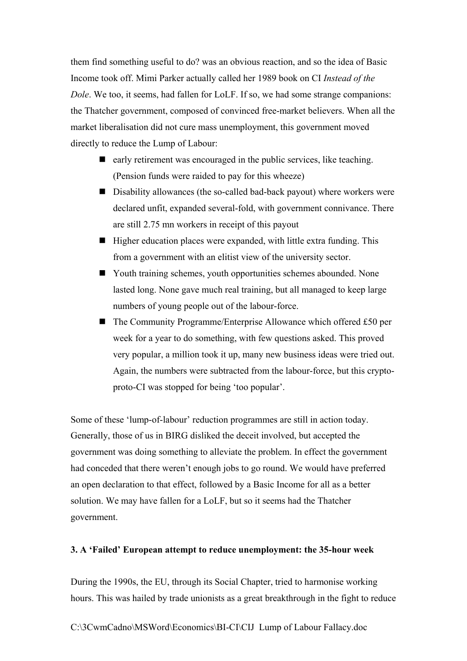them find something useful to do? was an obvious reaction, and so the idea of Basic Income took off. Mimi Parker actually called her 1989 book on CI *Instead of the Dole*. We too, it seems, had fallen for LoLF. If so, we had some strange companions: the Thatcher government, composed of convinced free-market believers. When all the market liberalisation did not cure mass unemployment, this government moved directly to reduce the Lump of Labour:

- $\blacksquare$  early retirement was encouraged in the public services, like teaching. (Pension funds were raided to pay for this wheeze)
- Disability allowances (the so-called bad-back payout) where workers were declared unfit, expanded several-fold, with government connivance. There are still 2.75 mn workers in receipt of this payout
- $\blacksquare$  Higher education places were expanded, with little extra funding. This from a government with an elitist view of the university sector.
- Youth training schemes, youth opportunities schemes abounded. None lasted long. None gave much real training, but all managed to keep large numbers of young people out of the labour-force.
- The Community Programme/Enterprise Allowance which offered £50 per week for a year to do something, with few questions asked. This proved very popular, a million took it up, many new business ideas were tried out. Again, the numbers were subtracted from the labour-force, but this cryptoproto-CI was stopped for being 'too popular'.

Some of these 'lump-of-labour' reduction programmes are still in action today. Generally, those of us in BIRG disliked the deceit involved, but accepted the government was doing something to alleviate the problem. In effect the government had conceded that there weren't enough jobs to go round. We would have preferred an open declaration to that effect, followed by a Basic Income for all as a better solution. We may have fallen for a LoLF, but so it seems had the Thatcher government.

#### **3. A 'Failed' European attempt to reduce unemployment: the 35-hour week**

During the 1990s, the EU, through its Social Chapter, tried to harmonise working hours. This was hailed by trade unionists as a great breakthrough in the fight to reduce

C:\3CwmCadno\MSWord\Economics\BI-CI\CIJ Lump of Labour Fallacy.doc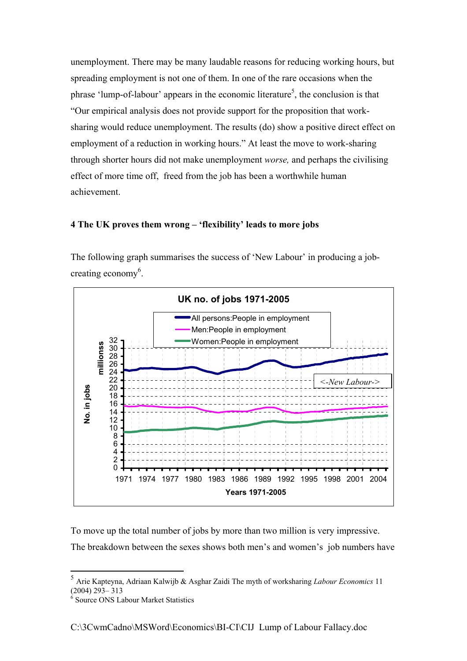unemployment. There may be many laudable reasons for reducing working hours, but spreading employment is not one of them. In one of the rare occasions when the phrase 'lump-of-labour' appears in the economic literature<sup>[5](#page-3-0)</sup>, the conclusion is that "Our empirical analysis does not provide support for the proposition that worksharing would reduce unemployment. The results (do) show a positive direct effect on employment of a reduction in working hours." At least the move to work-sharing through shorter hours did not make unemployment *worse,* and perhaps the civilising effect of more time off, freed from the job has been a worthwhile human achievement.

## **4 The UK proves them wrong – 'flexibility' leads to more jobs**

The following graph summarises the success of 'New Labour' in producing a job-creating economy<sup>[6](#page-3-1)</sup>.



To move up the total number of jobs by more than two million is very impressive. The breakdown between the sexes shows both men's and women's job numbers have

 $\overline{a}$ 

<span id="page-3-0"></span><sup>5</sup> Arie Kapteyna, Adriaan Kalwijb & Asghar Zaidi The myth of worksharing *Labour Economics* 11  $(2004)$   $293 - 313$ 

<span id="page-3-1"></span><sup>6</sup> Source ONS Labour Market Statistics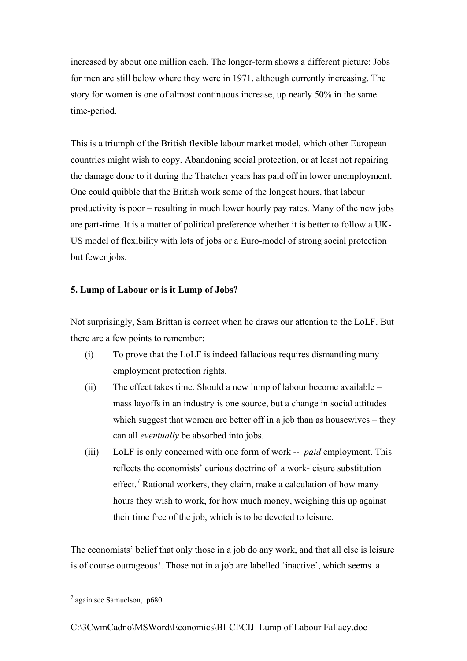increased by about one million each. The longer-term shows a different picture: Jobs for men are still below where they were in 1971, although currently increasing. The story for women is one of almost continuous increase, up nearly 50% in the same time-period.

This is a triumph of the British flexible labour market model, which other European countries might wish to copy. Abandoning social protection, or at least not repairing the damage done to it during the Thatcher years has paid off in lower unemployment. One could quibble that the British work some of the longest hours, that labour productivity is poor – resulting in much lower hourly pay rates. Many of the new jobs are part-time. It is a matter of political preference whether it is better to follow a UK-US model of flexibility with lots of jobs or a Euro-model of strong social protection but fewer jobs.

# **5. Lump of Labour or is it Lump of Jobs?**

Not surprisingly, Sam Brittan is correct when he draws our attention to the LoLF. But there are a few points to remember:

- (i) To prove that the LoLF is indeed fallacious requires dismantling many employment protection rights.
- (ii) The effect takes time. Should a new lump of labour become available mass layoffs in an industry is one source, but a change in social attitudes which suggest that women are better off in a job than as housewives – they can all *eventually* be absorbed into jobs.
- (iii) LoLF is only concerned with one form of work -- *paid* employment. This reflects the economists' curious doctrine of a work-leisure substitution effect.<sup>[7](#page-4-0)</sup> Rational workers, they claim, make a calculation of how many hours they wish to work, for how much money, weighing this up against their time free of the job, which is to be devoted to leisure.

The economists' belief that only those in a job do any work, and that all else is leisure is of course outrageous!. Those not in a job are labelled 'inactive', which seems a

<span id="page-4-0"></span> 7 again see Samuelson, p680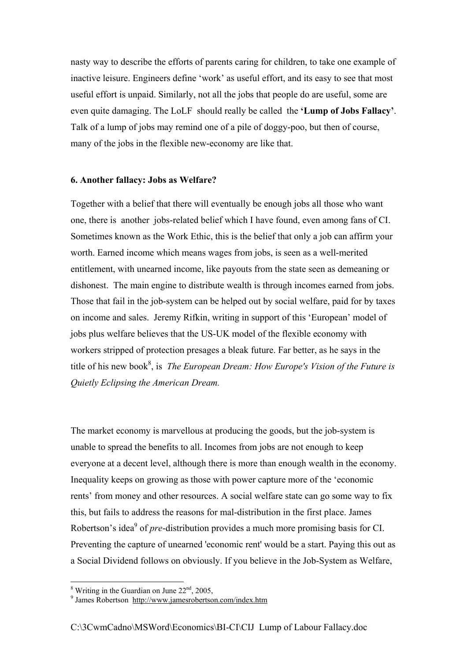nasty way to describe the efforts of parents caring for children, to take one example of inactive leisure. Engineers define 'work' as useful effort, and its easy to see that most useful effort is unpaid. Similarly, not all the jobs that people do are useful, some are even quite damaging. The LoLF should really be called the **'Lump of Jobs Fallacy'**. Talk of a lump of jobs may remind one of a pile of doggy-poo, but then of course, many of the jobs in the flexible new-economy are like that.

# **6. Another fallacy: Jobs as Welfare?**

Together with a belief that there will eventually be enough jobs all those who want one, there is another jobs-related belief which I have found, even among fans of CI. Sometimes known as the Work Ethic, this is the belief that only a job can affirm your worth. Earned income which means wages from jobs, is seen as a well-merited entitlement, with unearned income, like payouts from the state seen as demeaning or dishonest. The main engine to distribute wealth is through incomes earned from jobs. Those that fail in the job-system can be helped out by social welfare, paid for by taxes on income and sales. Jeremy Rifkin, writing in support of this 'European' model of jobs plus welfare believes that the US-UK model of the flexible economy with workers stripped of protection presages a bleak future. Far better, as he says in the title of his new book<sup>8</sup>[,](#page-5-0) is *The European Dream: How Europe's Vision of the Future is Quietly Eclipsing the American Dream.*

The market economy is marvellous at producing the goods, but the job-system is unable to spread the benefits to all. Incomes from jobs are not enough to keep everyone at a decent level, although there is more than enough wealth in the economy. Inequality keeps on growing as those with power capture more of the 'economic rents' from money and other resources. A social welfare state can go some way to fix this, but fails to address the reasons for mal-distribution in the first place. James Robertson's idea<sup>[9](#page-5-1)</sup> of *pre*-distribution provides a much more promising basis for CI. Preventing the capture of unearned 'economic rent' would be a start. Paying this out as a Social Dividend follows on obviously. If you believe in the Job-System as Welfare,

<span id="page-5-0"></span><sup>&</sup>lt;sup>8</sup> Writing in the Guardian on June  $22<sup>nd</sup>$ , 2005,

<span id="page-5-1"></span><sup>&</sup>lt;sup>9</sup> James Robertson http://www.jamesrobertson.com/index.htm